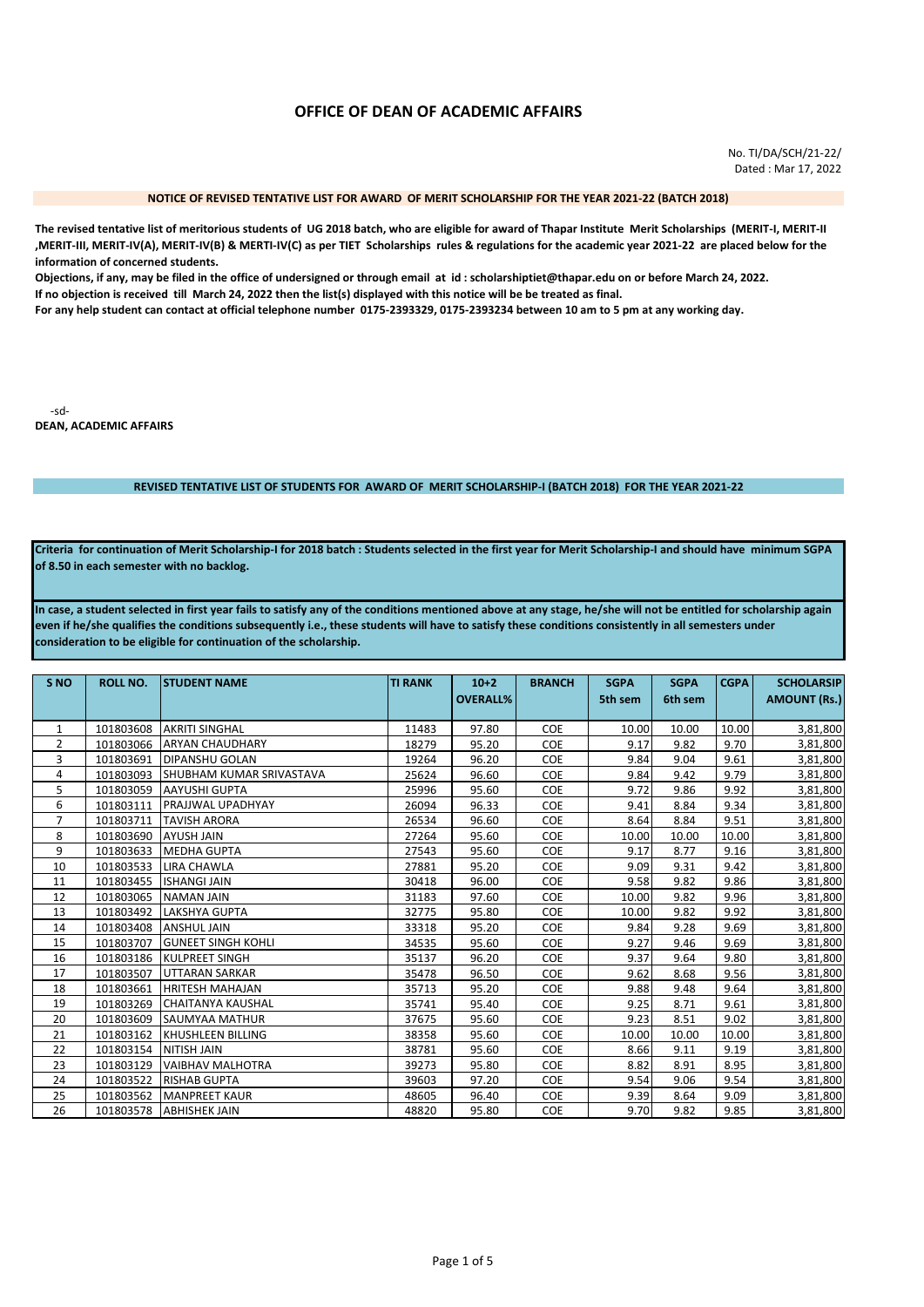# OFFICE OF DEAN OF ACADEMIC AFFAIRS

No. TI/DA/SCH/21-22/ Dated: Mar 17, 2022

#### NOTICE OF REVISED TENTATIVE LIST FOR AWARD OF MERIT SCHOLARSHIP FOR THE YEAR 2021-22 (BATCH 2018)

The revised tentative list of meritorious students of UG 2018 batch, who are eligible for award of Thapar Institute Merit Scholarships (MERIT-I, MERIT-II , MERIT-III, MERIT-IV(A), MERIT-IV(B) & MERTI-IV(C) as per TIET Scholarships rules & regulations for the academic year 2021-22 are placed below for the information of concerned students.

Objections, if any, may be filed in the office of undersigned or through email at id: scholarshiptiet@thapar.edu on or before March 24, 2022. If no objection is received till March 24, 2022 then the list(s) displayed with this notice will be be treated as final.

For any help student can contact at official telephone number 0175-2393329, 0175-2393234 between 10 am to 5 pm at any working day.

-sd-**DEAN, ACADEMIC AFFAIRS** 

### REVISED TENTATIVE LIST OF STUDENTS FOR AWARD OF MERIT SCHOLARSHIP-I (BATCH 2018) FOR THE YEAR 2021-22

Criteria for continuation of Merit Scholarship-I for 2018 batch : Students selected in the first year for Merit Scholarship-I and should have minimum SGPA of 8.50 in each semester with no backlog.

In case, a student selected in first year fails to satisfy any of the conditions mentioned above at any stage, he/she will not be entitled for scholarship again even if he/she qualifies the conditions subsequently i.e., these students will have to satisfy these conditions consistently in all semesters under consideration to be eligible for continuation of the scholarship.

| S <sub>NO</sub> | <b>ROLL NO.</b> | <b>STUDENT NAME</b>              | <b>TI RANK</b> | $10+2$<br><b>OVERALL%</b> | <b>BRANCH</b> | <b>SGPA</b><br>5th sem | <b>SGPA</b><br>6th sem | <b>CGPA</b> | <b>SCHOLARSIP</b><br><b>AMOUNT (Rs.)</b> |
|-----------------|-----------------|----------------------------------|----------------|---------------------------|---------------|------------------------|------------------------|-------------|------------------------------------------|
|                 |                 |                                  |                |                           |               |                        |                        |             |                                          |
| 1               | 101803608       | <b>AKRITI SINGHAL</b>            | 11483          | 97.80                     | <b>COE</b>    | 10.00                  | 10.00                  | 10.00       | 3,81,800                                 |
| $\overline{2}$  | 101803066       | <b>ARYAN CHAUDHARY</b>           | 18279          | 95.20                     | <b>COE</b>    | 9.17                   | 9.82                   | 9.70        | 3,81,800                                 |
| 3               | 101803691       | <b>DIPANSHU GOLAN</b>            | 19264          | 96.20                     | <b>COE</b>    | 9.84                   | 9.04                   | 9.61        | 3,81,800                                 |
| 4               | 101803093       | <b>ISHUBHAM KUMAR SRIVASTAVA</b> | 25624          | 96.60                     | <b>COE</b>    | 9.84                   | 9.42                   | 9.79        | 3,81,800                                 |
| 5               | 101803059       | <b>AAYUSHI GUPTA</b>             | 25996          | 95.60                     | <b>COE</b>    | 9.72                   | 9.86                   | 9.92        | 3,81,800                                 |
| 6               | 101803111       | PRAJJWAL UPADHYAY                | 26094          | 96.33                     | <b>COE</b>    | 9.41                   | 8.84                   | 9.34        | 3,81,800                                 |
| $\overline{7}$  | 101803711       | <b>TAVISH ARORA</b>              | 26534          | 96.60                     | <b>COE</b>    | 8.64                   | 8.84                   | 9.51        | 3,81,800                                 |
| 8               | 101803690       | <b>AYUSH JAIN</b>                | 27264          | 95.60                     | <b>COE</b>    | 10.00                  | 10.00                  | 10.00       | 3,81,800                                 |
| 9               | 101803633       | <b>MEDHA GUPTA</b>               | 27543          | 95.60                     | <b>COE</b>    | 9.17                   | 8.77                   | 9.16        | 3,81,800                                 |
| 10              | 101803533       | <b>LIRA CHAWLA</b>               | 27881          | 95.20                     | <b>COE</b>    | 9.09                   | 9.31                   | 9.42        | 3,81,800                                 |
| 11              | 101803455       | <b>ISHANGI JAIN</b>              | 30418          | 96.00                     | <b>COE</b>    | 9.58                   | 9.82                   | 9.86        | 3,81,800                                 |
| 12              | 101803065       | <b>NAMAN JAIN</b>                | 31183          | 97.60                     | COE           | 10.00                  | 9.82                   | 9.96        | 3,81,800                                 |
| 13              | 101803492       | <b>LAKSHYA GUPTA</b>             | 32775          | 95.80                     | <b>COE</b>    | 10.00                  | 9.82                   | 9.92        | 3,81,800                                 |
| 14              | 101803408       | <b>ANSHUL JAIN</b>               | 33318          | 95.20                     | COE           | 9.84                   | 9.28                   | 9.69        | 3,81,800                                 |
| 15              | 101803707       | <b>GUNEET SINGH KOHLI</b>        | 34535          | 95.60                     | COE           | 9.27                   | 9.46                   | 9.69        | 3,81,800                                 |
| 16              | 101803186       | <b>KULPREET SINGH</b>            | 35137          | 96.20                     | <b>COE</b>    | 9.37                   | 9.64                   | 9.80        | 3,81,800                                 |
| 17              | 101803507       | UTTARAN SARKAR                   | 35478          | 96.50                     | <b>COE</b>    | 9.62                   | 8.68                   | 9.56        | 3,81,800                                 |
| 18              | 101803661       | <b>HRITESH MAHAJAN</b>           | 35713          | 95.20                     | <b>COE</b>    | 9.88                   | 9.48                   | 9.64        | 3,81,800                                 |
| 19              | 101803269       | <b>CHAITANYA KAUSHAL</b>         | 35741          | 95.40                     | <b>COE</b>    | 9.25                   | 8.71                   | 9.61        | 3,81,800                                 |
| 20              | 101803609       | <b>SAUMYAA MATHUR</b>            | 37675          | 95.60                     | <b>COE</b>    | 9.23                   | 8.51                   | 9.02        | 3,81,800                                 |
| 21              | 101803162       | IKHUSHLEEN BILLING               | 38358          | 95.60                     | <b>COE</b>    | 10.00                  | 10.00                  | 10.00       | 3,81,800                                 |
| 22              | 101803154       | <b>NITISH JAIN</b>               | 38781          | 95.60                     | <b>COE</b>    | 8.66                   | 9.11                   | 9.19        | 3,81,800                                 |
| 23              | 101803129       | <b>VAIBHAV MALHOTRA</b>          | 39273          | 95.80                     | <b>COE</b>    | 8.82                   | 8.91                   | 8.95        | 3,81,800                                 |
| 24              | 101803522       | <b>RISHAB GUPTA</b>              | 39603          | 97.20                     | <b>COE</b>    | 9.54                   | 9.06                   | 9.54        | 3,81,800                                 |
| 25              | 101803562       | <b>MANPREET KAUR</b>             | 48605          | 96.40                     | <b>COE</b>    | 9.39                   | 8.64                   | 9.09        | 3,81,800                                 |
| 26              | 101803578       | <b>ABHISHEK JAIN</b>             | 48820          | 95.80                     | <b>COE</b>    | 9.70                   | 9.82                   | 9.85        | 3,81,800                                 |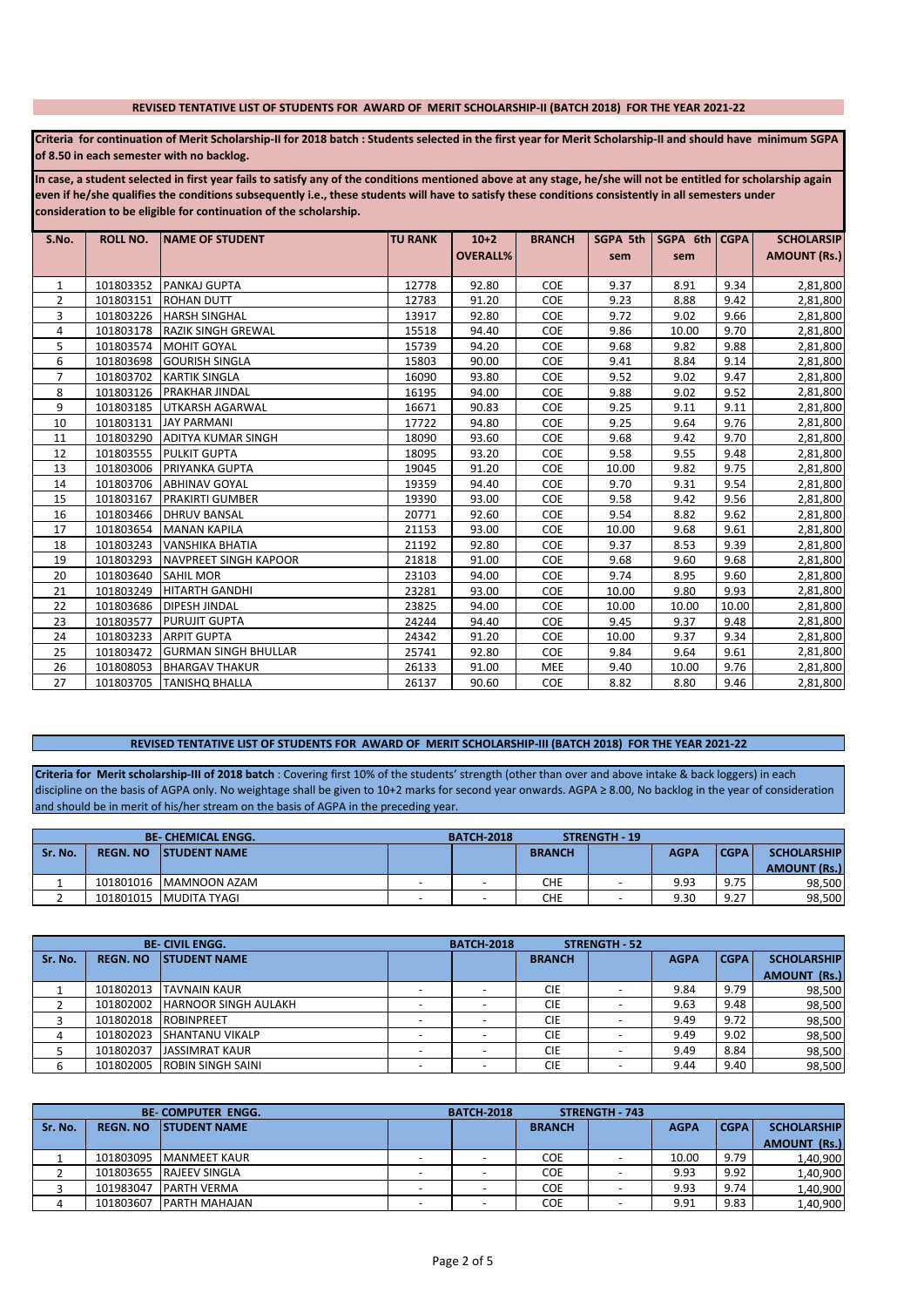#### REVISED TENTATIVE LIST OF STUDENTS FOR AWARD OF MERIT SCHOLARSHIP-II (BATCH 2018) FOR THE YEAR 2021-22

Criteria for continuation of Merit Scholarship-II for 2018 batch : Students selected in the first year for Merit Scholarship-II and should have minimum SGPA of 8.50 in each semester with no backlog.

In case, a student selected in first year fails to satisfy any of the conditions mentioned above at any stage, he/she will not be entitled for scholarship again even if he/she qualifies the conditions subsequently i.e., these students will have to satisfy these conditions consistently in all semesters under consideration to be eligible for continuation of the scholarship.

| S.No.          | ROLL NO.  | <b>NAME OF STUDENT</b>      | <b>TU RANK</b> | $10+2$          | <b>BRANCH</b> | SGPA 5th | SGPA 6th   CGPA |       | <b>SCHOLARSIP</b>   |
|----------------|-----------|-----------------------------|----------------|-----------------|---------------|----------|-----------------|-------|---------------------|
|                |           |                             |                | <b>OVERALL%</b> |               | sem      | sem             |       | <b>AMOUNT (Rs.)</b> |
|                |           |                             |                |                 |               |          |                 |       |                     |
| $\mathbf{1}$   | 101803352 | <b>PANKAJ GUPTA</b>         | 12778          | 92.80           | <b>COE</b>    | 9.37     | 8.91            | 9.34  | 2,81,800            |
| 2              | 101803151 | <b>ROHAN DUTT</b>           | 12783          | 91.20           | <b>COE</b>    | 9.23     | 8.88            | 9.42  | 2,81,800            |
| 3              | 101803226 | <b>HARSH SINGHAL</b>        | 13917          | 92.80           | COE           | 9.72     | 9.02            | 9.66  | 2,81,800            |
| 4              | 101803178 | <b>RAZIK SINGH GREWAL</b>   | 15518          | 94.40           | <b>COE</b>    | 9.86     | 10.00           | 9.70  | 2,81,800            |
| 5              | 101803574 | <b>MOHIT GOYAL</b>          | 15739          | 94.20           | COE           | 9.68     | 9.82            | 9.88  | 2,81,800            |
| 6              | 101803698 | <b>GOURISH SINGLA</b>       | 15803          | 90.00           | <b>COE</b>    | 9.41     | 8.84            | 9.14  | 2,81,800            |
| $\overline{7}$ | 101803702 | <b>KARTIK SINGLA</b>        | 16090          | 93.80           | COE           | 9.52     | 9.02            | 9.47  | 2,81,800            |
| 8              | 101803126 | <b>PRAKHAR JINDAL</b>       | 16195          | 94.00           | <b>COE</b>    | 9.88     | 9.02            | 9.52  | 2,81,800            |
| 9              | 101803185 | <b>UTKARSH AGARWAL</b>      | 16671          | 90.83           | <b>COE</b>    | 9.25     | 9.11            | 9.11  | 2,81,800            |
| 10             | 101803131 | <b>JAY PARMANI</b>          | 17722          | 94.80           | COE           | 9.25     | 9.64            | 9.76  | 2,81,800            |
| 11             | 101803290 | <b>ADITYA KUMAR SINGH</b>   | 18090          | 93.60           | COE           | 9.68     | 9.42            | 9.70  | 2,81,800            |
| 12             | 101803555 | <b>PULKIT GUPTA</b>         | 18095          | 93.20           | <b>COE</b>    | 9.58     | 9.55            | 9.48  | 2,81,800            |
| 13             | 101803006 | <b>PRIYANKA GUPTA</b>       | 19045          | 91.20           | <b>COE</b>    | 10.00    | 9.82            | 9.75  | 2,81,800            |
| 14             | 101803706 | <b>ABHINAV GOYAL</b>        | 19359          | 94.40           | <b>COE</b>    | 9.70     | 9.31            | 9.54  | 2,81,800            |
| 15             | 101803167 | <b>PRAKIRTI GUMBER</b>      | 19390          | 93.00           | <b>COE</b>    | 9.58     | 9.42            | 9.56  | 2,81,800            |
| 16             | 101803466 | <b>DHRUV BANSAL</b>         | 20771          | 92.60           | <b>COE</b>    | 9.54     | 8.82            | 9.62  | 2,81,800            |
| 17             | 101803654 | <b>MANAN KAPILA</b>         | 21153          | 93.00           | <b>COE</b>    | 10.00    | 9.68            | 9.61  | 2,81,800            |
| 18             | 101803243 | <b>VANSHIKA BHATIA</b>      | 21192          | 92.80           | COE           | 9.37     | 8.53            | 9.39  | 2,81,800            |
| 19             | 101803293 | NAVPREET SINGH KAPOOR       | 21818          | 91.00           | <b>COE</b>    | 9.68     | 9.60            | 9.68  | 2,81,800            |
| 20             | 101803640 | <b>SAHIL MOR</b>            | 23103          | 94.00           | <b>COE</b>    | 9.74     | 8.95            | 9.60  | 2,81,800            |
| 21             | 101803249 | <b>HITARTH GANDHI</b>       | 23281          | 93.00           | <b>COE</b>    | 10.00    | 9.80            | 9.93  | 2,81,800            |
| 22             | 101803686 | <b>DIPESH JINDAL</b>        | 23825          | 94.00           | <b>COE</b>    | 10.00    | 10.00           | 10.00 | 2,81,800            |
| 23             | 101803577 | <b>PURUJIT GUPTA</b>        | 24244          | 94.40           | <b>COE</b>    | 9.45     | 9.37            | 9.48  | 2,81,800            |
| 24             | 101803233 | <b>ARPIT GUPTA</b>          | 24342          | 91.20           | <b>COE</b>    | 10.00    | 9.37            | 9.34  | 2,81,800            |
| 25             | 101803472 | <b>GURMAN SINGH BHULLAR</b> | 25741          | 92.80           | COE           | 9.84     | 9.64            | 9.61  | 2,81,800            |
| 26             | 101808053 | <b>BHARGAV THAKUR</b>       | 26133          | 91.00           | <b>MEE</b>    | 9.40     | 10.00           | 9.76  | 2,81,800            |
| 27             | 101803705 | <b>TANISHQ BHALLA</b>       | 26137          | 90.60           | <b>COE</b>    | 8.82     | 8.80            | 9.46  | 2,81,800            |

### REVISED TENTATIVE LIST OF STUDENTS FOR AWARD OF MERIT SCHOLARSHIP-III (BATCH 2018) FOR THE YEAR 2021-22

Criteria for Merit scholarship-III of 2018 batch : Covering first 10% of the students' strength (other than over and above intake & back loggers) in each discipline on the basis of AGPA only. No weightage shall be given t and should be in merit of his/her stream on the basis of AGPA in the preceding year.

|         |                 | <b>BE-CHEMICAL ENGG.</b> |   | <b>BATCH-2018</b> |               | STRENGTH - 19 |             |             |                     |
|---------|-----------------|--------------------------|---|-------------------|---------------|---------------|-------------|-------------|---------------------|
| Sr. No. | <b>REGN. NO</b> | <b>ISTUDENT NAME</b>     |   |                   | <b>BRANCH</b> |               | <b>AGPA</b> | <b>CGPA</b> | <b>SCHOLARSHIP</b>  |
|         |                 |                          |   |                   |               |               |             |             | <b>AMOUNT (Rs.)</b> |
|         |                 | 101801016 MAMNOON AZAM   |   |                   | CHE           |               | 9.93        | 9.75        | 98.500              |
|         |                 | 101801015   MUDITA TYAGI | - | -                 | CHE           |               | 9.30        | 9.27        | 98,500              |

|         |                 | <b>BE-CIVIL ENGG.</b>       |   | <b>BATCH 2018</b>        |               | <b>STRENGTH - 52</b> |             |             |                     |
|---------|-----------------|-----------------------------|---|--------------------------|---------------|----------------------|-------------|-------------|---------------------|
| Sr. No. | <b>REGN. NO</b> | <b>ISTUDENT NAME</b>        |   |                          | <b>BRANCH</b> |                      | <b>AGPA</b> | <b>CGPA</b> | <b>SCHOLARSHIP</b>  |
|         |                 |                             |   |                          |               |                      |             |             | <b>AMOUNT (Rs.)</b> |
|         | 101802013       | <b>ITAVNAIN KAUR</b>        |   |                          | <b>CIE</b>    |                      | 9.84        | 9.79        | 98,500              |
|         | 101802002       | <b>HARNOOR SINGH AULAKH</b> |   |                          | <b>CIE</b>    |                      | 9.63        | 9.48        | 98,500              |
|         | 101802018       | <b>ROBINPREET</b>           |   |                          | <b>CIE</b>    |                      | 9.49        | 9.72        | 98,500              |
| 4       | 101802023       | <b>SHANTANU VIKALP</b>      |   |                          | <b>CIE</b>    |                      | 9.49        | 9.02        | 98,500              |
|         | 101802037       | <b>JASSIMRAT KAUR</b>       |   |                          | <b>CIE</b>    |                      | 9.49        | 8.84        | 98,500              |
| 6       | 101802005       | <b>ROBIN SINGH SAINL</b>    | - | $\overline{\phantom{0}}$ | <b>CIE</b>    |                      | 9.44        | 9.40        | 98,500              |

|         | <b>BE COMPUTER ENGG.</b> |                       | <b>STRENGTH - 743</b><br><b>BATCH 2018</b> |               |             |             |                     |
|---------|--------------------------|-----------------------|--------------------------------------------|---------------|-------------|-------------|---------------------|
| Sr. No. | <b>REGN. NO</b>          | <b>ISTUDENT NAME</b>  |                                            | <b>BRANCH</b> | <b>AGPA</b> | <b>CGPA</b> | <b>SCHOLARSHIP</b>  |
|         |                          |                       |                                            |               |             |             | <b>AMOUNT (Rs.)</b> |
|         | 101803095                | <b>MANMEET KAUR</b>   |                                            | <b>COE</b>    | 10.00       | 9.79        | 1,40,900            |
|         | 101803655                | <b>RAJEEV SINGLA</b>  |                                            | <b>COE</b>    | 9.93        | 9.92        | 1,40,900            |
|         | 101983047                | <b>PARTH VERMA</b>    |                                            | <b>COE</b>    | 9.93        | 9.74        | 1,40,900            |
| 4       | 101803607                | <b>IPARTH MAHAJAN</b> |                                            | <b>COE</b>    | 9.91        | 9.83        | 1.40.900            |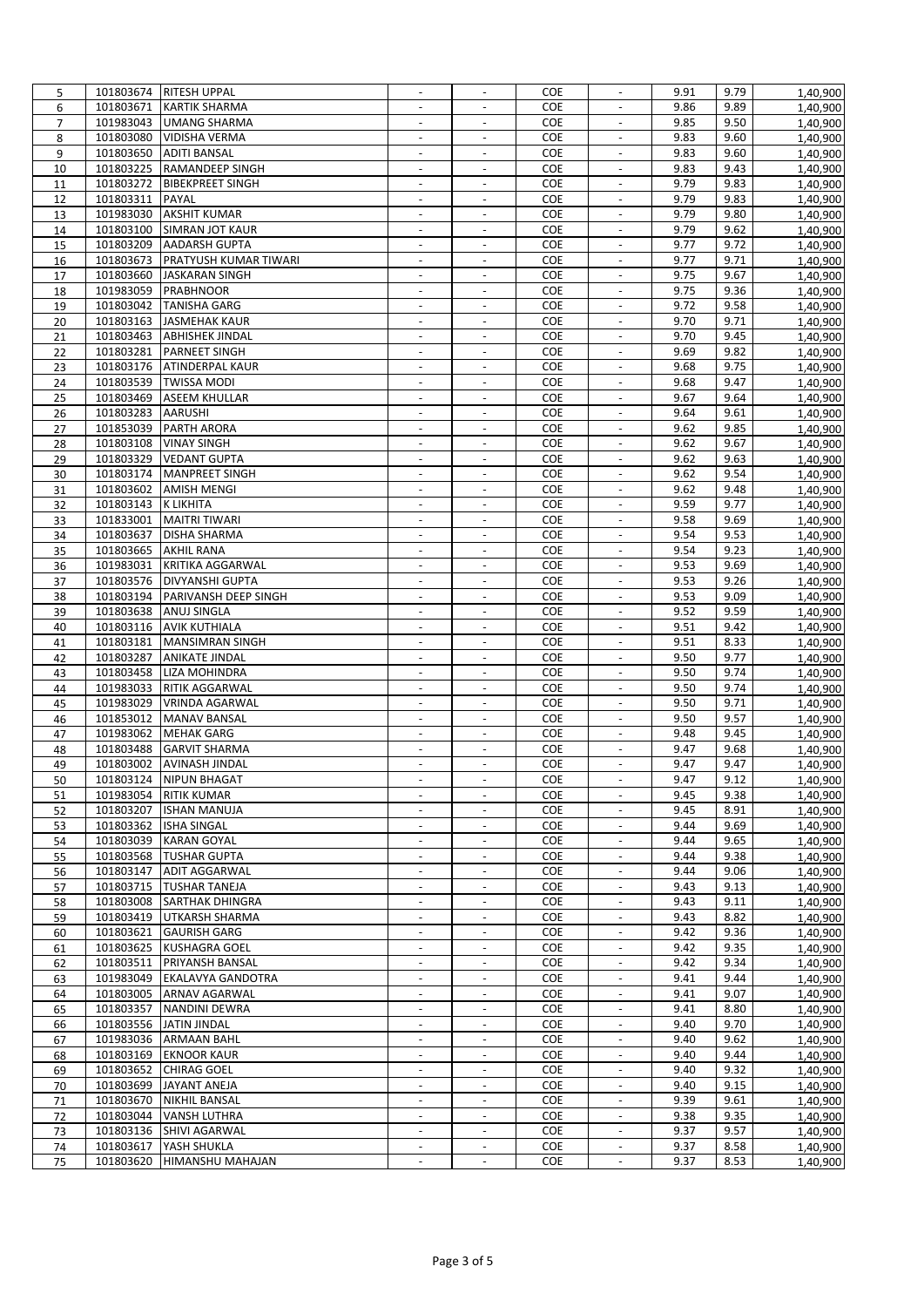| 5              |                        | 101803674 RITESH UPPAL                       | $\overline{\phantom{a}}$ |                          | COE               | $\overline{\phantom{a}}$                   | 9.91         | 9.79         | 1,40,900              |
|----------------|------------------------|----------------------------------------------|--------------------------|--------------------------|-------------------|--------------------------------------------|--------------|--------------|-----------------------|
| 6              | 101803671              | <b>KARTIK SHARMA</b>                         | $\blacksquare$           | $\blacksquare$           | <b>COE</b>        | $\blacksquare$                             | 9.86         | 9.89         | $\overline{1,}40,900$ |
| $\overline{7}$ | 101983043              | UMANG SHARMA                                 | $\overline{\phantom{a}}$ | $\sim$                   | <b>COE</b>        | $\sim$                                     | 9.85         | 9.50         | 1,40,900              |
| 8              | 101803080              | <b>VIDISHA VERMA</b>                         |                          |                          | COE               |                                            | 9.83         | 9.60         | 1,40,900              |
| 9              | 101803650              | <b>ADITI BANSAL</b>                          | $\overline{\phantom{a}}$ | $\overline{\phantom{a}}$ | COE               | $\overline{\phantom{a}}$                   | 9.83         | 9.60         | 1,40,900              |
| 10             | 101803225              | <b>RAMANDEEP SINGH</b>                       | $\blacksquare$           | $\sim$                   | COE               | $\overline{\phantom{a}}$                   | 9.83         | 9.43         | 1,40,900              |
| 11             | 101803272              | <b>BIBEKPREET SINGH</b>                      | $\overline{\phantom{a}}$ | $\overline{\phantom{a}}$ | COE               | $\overline{a}$                             | 9.79         | 9.83         | 1,40,900              |
| 12             | 101803311              | PAYAL                                        | $\overline{\phantom{a}}$ | $\overline{\phantom{a}}$ | COE               | $\overline{\phantom{a}}$                   | 9.79         | 9.83         | 1,40,900              |
| 13             | 101983030              | <b>AKSHIT KUMAR</b>                          | $\sim$                   | $\sim$                   | COE               | $\blacksquare$                             | 9.79         | 9.80         | 1,40,900              |
| 14             | 101803100              | <b>SIMRAN JOT KAUR</b>                       | $\blacksquare$           | $\overline{\phantom{a}}$ | <b>COE</b>        | $\blacksquare$                             | 9.79         | 9.62         | 1,40,900              |
| 15             | 101803209              | <b>AADARSH GUPTA</b>                         | $\overline{\phantom{a}}$ | $\overline{\phantom{a}}$ | COE               | $\overline{\phantom{a}}$                   | 9.77         | 9.72         | 1,40,900              |
| 16             | 101803673              | <b>PRATYUSH KUMAR TIWARI</b>                 | $\overline{\phantom{a}}$ | $\overline{\phantom{a}}$ | COE               | $\overline{\phantom{a}}$                   | 9.77         | 9.71         | 1,40,900              |
| 17             | 101803660              | <b>JASKARAN SINGH</b>                        | $\blacksquare$           | $\blacksquare$           | COE               | $\blacksquare$                             | 9.75         | 9.67         | 1,40,900              |
| 18             | 101983059              | PRABHNOOR                                    | $\blacksquare$           | $\overline{\phantom{a}}$ | <b>COE</b>        | $\overline{\phantom{a}}$                   | 9.75         | 9.36         | 1,40,900              |
| 19             | 101803042              | <b>TANISHA GARG</b>                          |                          |                          | COE               | $\overline{\phantom{a}}$                   | 9.72         | 9.58         | 1,40,900              |
| 20             | 101803163              | <b>JASMEHAK KAUR</b>                         | $\overline{\phantom{a}}$ | $\overline{\phantom{a}}$ | COE               | $\overline{\phantom{a}}$                   | 9.70         | 9.71         | 1,40,900              |
| 21             | 101803463              | <b>ABHISHEK JINDAL</b>                       | $\sim$                   | $\sim$                   | <b>COE</b>        | $\overline{\phantom{a}}$                   | 9.70         | 9.45         | 1,40,900              |
| 22             | 101803281              | <b>PARNEET SINGH</b>                         |                          |                          | COE               | $\overline{a}$                             | 9.69         | 9.82         | 1,40,900              |
| 23             | 101803176              | <b>ATINDERPAL KAUR</b>                       | $\overline{\phantom{a}}$ | $\overline{\phantom{a}}$ | COE               | $\overline{\phantom{a}}$                   | 9.68         | 9.75         | 1,40,900              |
| 24             | 101803539              | <b>TWISSA MODI</b>                           | $\overline{\phantom{a}}$ | $\overline{\phantom{a}}$ | <b>COE</b>        | $\blacksquare$                             | 9.68         | 9.47         | 1,40,900              |
| 25             | 101803469              | <b>ASEEM KHULLAR</b>                         | $\blacksquare$           |                          | <b>COE</b>        | $\blacksquare$                             | 9.67         | 9.64         | 1,40,900              |
| 26             | 101803283              | <b>AARUSHI</b>                               | $\overline{\phantom{a}}$ | $\overline{\phantom{a}}$ | COE               | $\overline{\phantom{a}}$                   | 9.64         | 9.61         | 1,40,900              |
| 27             | 101853039              | PARTH ARORA                                  | $\blacksquare$           | $\sim$                   | COE               | $\blacksquare$                             | 9.62         | 9.85         | 1,40,900              |
| 28             | 101803108              | <b>VINAY SINGH</b>                           | $\overline{\phantom{a}}$ | $\blacksquare$           | COE               | $\blacksquare$                             | 9.62         | 9.67         | 1,40,900              |
| 29             | 101803329              | <b>VEDANT GUPTA</b>                          | $\overline{\phantom{a}}$ | $\overline{\phantom{a}}$ | <b>COE</b>        | $\overline{\phantom{a}}$                   | 9.62         | 9.63         | 1,40,900              |
| 30             | 101803174              | <b>MANPREET SINGH</b>                        |                          |                          | COE               | $\overline{\phantom{a}}$                   | 9.62         | 9.54         | 1,40,900              |
| 31             | 101803602              | <b>AMISH MENGI</b>                           | $\omega$                 | $\blacksquare$           | COE               | $\mathbb{L}^2$                             | 9.62         | 9.48         | 1,40,900              |
| 32             | 101803143              | K LIKHITA                                    | $\overline{\phantom{a}}$ | $\overline{\phantom{a}}$ | <b>COE</b>        | $\overline{\phantom{a}}$                   | 9.59         | 9.77         | 1,40,900              |
| 33             | 101833001              | <b>MAITRI TIWARI</b>                         |                          |                          | COE               | $\overline{\phantom{a}}$                   | 9.58         | 9.69         | 1,40,900              |
| 34             | 101803637              | DISHA SHARMA                                 | $\overline{\phantom{a}}$ | $\overline{\phantom{a}}$ | COE               | $\overline{\phantom{a}}$                   | 9.54         | 9.53         | 1,40,900              |
| 35             | 101803665              | <b>AKHIL RANA</b>                            | $\sim$                   | $\overline{\phantom{a}}$ | COE               | $\blacksquare$                             | 9.54         | 9.23         | 1,40,900              |
| 36             | 101983031              | <b>KRITIKA AGGARWAL</b>                      |                          |                          | COE               | $\blacksquare$                             | 9.53         | 9.69         | 1,40,900              |
| 37             | 101803576              | <b>DIVYANSHI GUPTA</b>                       | $\overline{\phantom{a}}$ | $\overline{\phantom{a}}$ | COE               | $\overline{\phantom{a}}$                   | 9.53         | 9.26         | 1,40,900              |
|                | 101803194              | PARIVANSH DEEP SINGH                         | $\sim$                   | $\sim$                   | COE               | $\blacksquare$                             | 9.53         | 9.09         | 1,40,900              |
| 38<br>39       | 101803638              | <b>ANUJ SINGLA</b>                           | $\blacksquare$           | $\overline{\phantom{a}}$ | COE               | $\blacksquare$                             | 9.52         | 9.59         | 1,40,900              |
|                | 101803116              | <b>AVIK KUTHIALA</b>                         | $\overline{\phantom{a}}$ | $\overline{\phantom{a}}$ | <b>COE</b>        | $\overline{\phantom{a}}$                   | 9.51         | 9.42         | 1,40,900              |
| 40<br>41       | 101803181              | <b>MANSIMRAN SINGH</b>                       | $\overline{\phantom{a}}$ | $\overline{\phantom{a}}$ | COE               | $\overline{\phantom{a}}$                   | 9.51         | 8.33         |                       |
|                | 101803287              | <b>ANIKATE JINDAL</b>                        | $\blacksquare$           | $\blacksquare$           | COE               | $\overline{\phantom{a}}$                   | 9.50         | 9.77         | 1,40,900              |
| 42             | 101803458              | LIZA MOHINDRA                                | $\overline{\phantom{a}}$ | $\overline{\phantom{a}}$ | <b>COE</b>        | $\overline{\phantom{a}}$                   | 9.50         | 9.74         | 1,40,900              |
| 43             |                        |                                              |                          |                          |                   |                                            |              |              | 1,40,900              |
| 44             | 101983033              | <b>RITIK AGGARWAL</b>                        | $\blacksquare$           | $\Box$                   | COE               | $\overline{\phantom{a}}$<br>$\blacksquare$ | 9.50         | 9.74         | 1,40,900              |
| 45             | 101983029              | <b>VRINDA AGARWAL</b><br><b>MANAV BANSAL</b> | $\blacksquare$           | $\overline{\phantom{a}}$ | COE               | $\blacksquare$                             | 9.50         | 9.71         | 1,40,900              |
| 46             | 101853012<br>101983062 |                                              |                          | $\overline{\phantom{a}}$ | <b>COE</b><br>COE | $\overline{\phantom{a}}$                   | 9.50<br>9.48 | 9.57<br>9.45 | 1,40,900              |
| 47             |                        | <b>MEHAK GARG</b>                            |                          |                          |                   |                                            |              |              | 1,40,900              |
| 48             | 101803488              | <b>GARVIT SHARMA</b>                         | $\overline{\phantom{a}}$ | $\overline{\phantom{a}}$ | COE               | $\overline{\phantom{a}}$                   | 9.47         | 9.68         | 1,40,900              |
| 49             | 101803002              | <b>AVINASH JINDAL</b>                        | $\overline{\phantom{a}}$ | $\overline{\phantom{a}}$ | <b>COE</b>        |                                            | 9.47         | 9.47         | 1,40,900              |
| 50             |                        | 101803124 NIPUN BHAGAT                       |                          |                          | <b>COE</b>        |                                            | 9.47         | 9.12         | 1,40,900              |
| 51             |                        | 101983054 RITIK KUMAR                        | $\overline{\phantom{a}}$ | $\overline{\phantom{a}}$ | COE               | $\overline{\phantom{a}}$                   | 9.45         | 9.38         | 1,40,900              |
| 52             | 101803207              | <b>ISHAN MANUJA</b>                          | $\overline{\phantom{a}}$ | $\overline{\phantom{a}}$ | COE               | $\sim$                                     | 9.45         | 8.91         | 1,40,900              |
| 53             | 101803362              | <b>ISHA SINGAL</b>                           |                          | $\overline{\phantom{a}}$ | COE               | $\blacksquare$                             | 9.44         | 9.69         | 1,40,900              |
| 54             | 101803039              | <b>KARAN GOYAL</b>                           | $\overline{\phantom{m}}$ | $\overline{\phantom{a}}$ | <b>COE</b>        | $\overline{\phantom{a}}$                   | 9.44         | 9.65         | 1,40,900              |
| 55             | 101803568              | <b>TUSHAR GUPTA</b>                          |                          |                          | COE               | $\overline{\phantom{a}}$                   | 9.44         | 9.38         | 1,40,900              |
| 56             | 101803147              | <b>ADIT AGGARWAL</b>                         | $\Box$                   | $\blacksquare$           | <b>COE</b>        | $\blacksquare$                             | 9.44         | 9.06         | 1,40,900              |
| 57             | 101803715              | <b>TUSHAR TANEJA</b>                         | $\overline{\phantom{a}}$ | $\overline{\phantom{a}}$ | <b>COE</b>        | $\overline{\phantom{a}}$                   | 9.43         | 9.13         | 1,40,900              |
| 58             | 101803008              | <b>SARTHAK DHINGRA</b>                       |                          |                          | <b>COE</b>        |                                            | 9.43         | 9.11         | 1,40,900              |
| 59             | 101803419              | UTKARSH SHARMA                               | $\overline{\phantom{a}}$ | $\overline{\phantom{a}}$ | COE               | $\overline{\phantom{a}}$                   | 9.43         | 8.82         | 1,40,900              |
| 60             | 101803621              | <b>GAURISH GARG</b>                          | $\overline{\phantom{a}}$ | $\overline{\phantom{a}}$ | COE               | $\overline{\phantom{a}}$                   | 9.42         | 9.36         | 1,40,900              |
| 61             | 101803625              | KUSHAGRA GOEL                                |                          |                          | COE               |                                            | 9.42         | 9.35         | 1,40,900              |
| 62             | 101803511              | PRIYANSH BANSAL                              | $\overline{\phantom{a}}$ | $\overline{\phantom{a}}$ | COE               | $\overline{\phantom{a}}$                   | 9.42         | 9.34         | 1,40,900              |
| 63             | 101983049              | <b>EKALAVYA GANDOTRA</b>                     | $\overline{\phantom{a}}$ | $\overline{\phantom{a}}$ | <b>COE</b>        | $\overline{\phantom{a}}$                   | 9.41         | 9.44         | 1,40,900              |
| 64             | 101803005              | <b>ARNAV AGARWAL</b>                         | $\overline{\phantom{a}}$ |                          | <b>COE</b>        | $\overline{\phantom{a}}$                   | 9.41         | 9.07         | 1,40,900              |
| 65             | 101803357              | NANDINI DEWRA                                | $\overline{\phantom{a}}$ | $\overline{\phantom{a}}$ | COE               | $\overline{\phantom{a}}$                   | 9.41         | 8.80         | 1,40,900              |
| 66             | 101803556              | <b>JATIN JINDAL</b>                          | $\overline{\phantom{a}}$ | $\overline{\phantom{a}}$ | COE               | $\overline{\phantom{a}}$                   | 9.40         | 9.70         | 1,40,900              |
| 67             | 101983036              | <b>ARMAAN BAHL</b>                           | $\blacksquare$           | $\blacksquare$           | COE               | $\overline{\phantom{a}}$                   | 9.40         | 9.62         | 1,40,900              |
| 68             | 101803169              | <b>EKNOOR KAUR</b>                           | $\overline{\phantom{a}}$ | $\overline{\phantom{a}}$ | COE               | $\overline{\phantom{a}}$                   | 9.40         | 9.44         | 1,40,900              |
| 69             | 101803652              | <b>CHIRAG GOEL</b>                           |                          |                          | COE               | $\overline{\phantom{a}}$                   | 9.40         | 9.32         | 1,40,900              |
| 70             | 101803699              | <b>JAYANT ANEJA</b>                          | $\overline{\phantom{a}}$ | $\Box$                   | COE               | $\blacksquare$                             | 9.40         | 9.15         | 1,40,900              |
| 71             | 101803670              | <b>NIKHIL BANSAL</b>                         | $\overline{\phantom{a}}$ | $\overline{\phantom{a}}$ | <b>COE</b>        | $\overline{\phantom{a}}$                   | 9.39         | 9.61         | 1,40,900              |
| 72             | 101803044              | <b>VANSH LUTHRA</b>                          |                          |                          | <b>COE</b>        | $\overline{\phantom{a}}$                   | 9.38         | 9.35         | 1,40,900              |
| 73             | 101803136              | SHIVI AGARWAL                                | $\overline{\phantom{a}}$ | $\overline{\phantom{a}}$ | COE               | $\overline{\phantom{a}}$                   | 9.37         | 9.57         | 1,40,900              |
| 74             | 101803617              | YASH SHUKLA                                  | $\overline{\phantom{a}}$ | $\overline{\phantom{a}}$ | COE               | $\overline{\phantom{a}}$                   | 9.37         | 8.58         | 1,40,900              |
| 75             | 101803620              | HIMANSHU MAHAJAN                             |                          |                          | COE               |                                            | 9.37         | 8.53         | 1,40,900              |
|                |                        |                                              |                          |                          |                   |                                            |              |              |                       |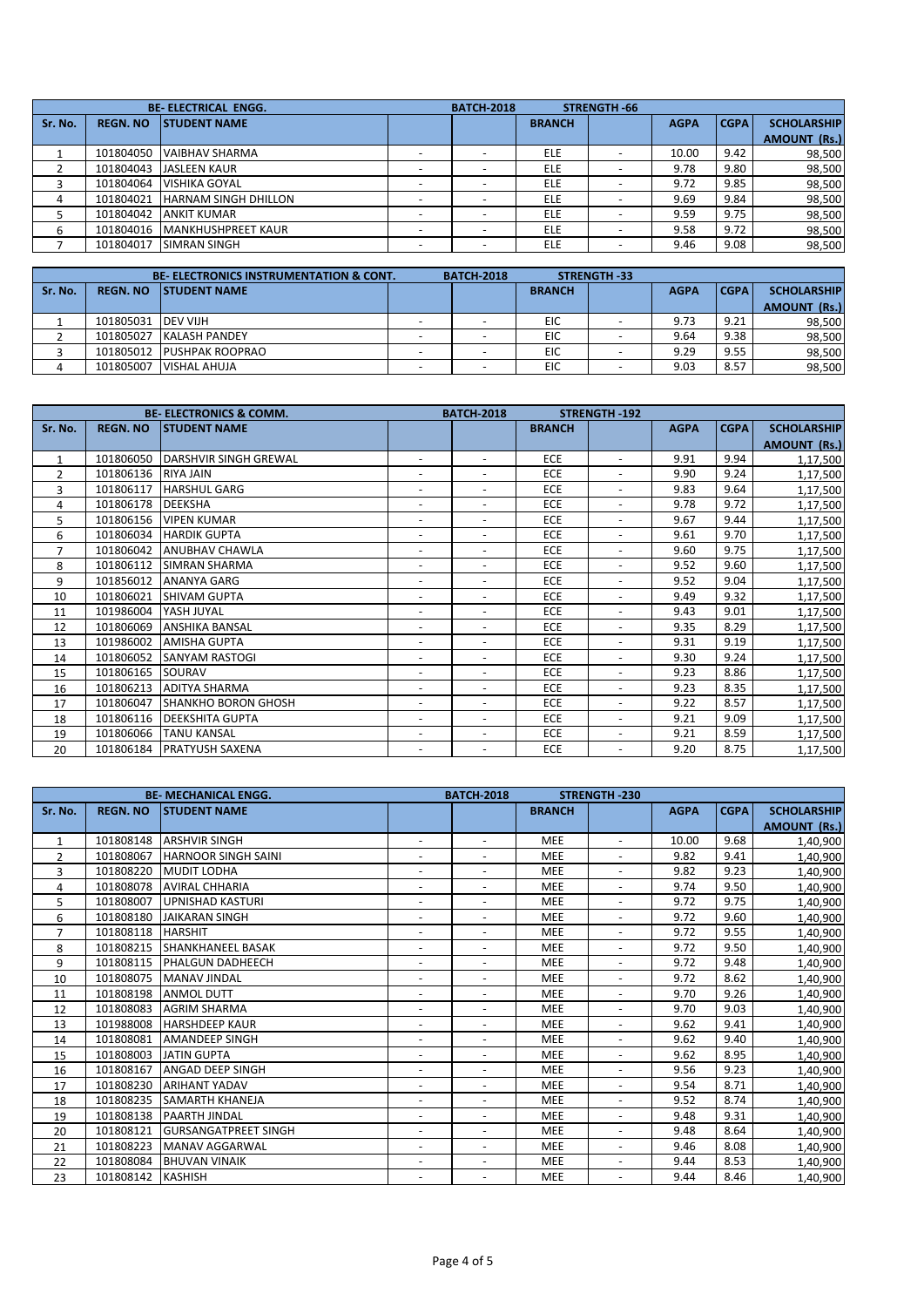|         |                 | <b>BE-ELECTRICAL ENGG.</b>  | <b>BATCH-2018</b> |               | STRENGTH 66              |             |        |                     |
|---------|-----------------|-----------------------------|-------------------|---------------|--------------------------|-------------|--------|---------------------|
| Sr. No. | <b>REGN. NO</b> | <b>ISTUDENT NAME</b>        |                   | <b>BRANCH</b> |                          | <b>AGPA</b> | l CGPA | <b>SCHOLARSHIP</b>  |
|         |                 |                             |                   |               |                          |             |        | <b>AMOUNT (Rs.)</b> |
|         | 101804050       | <b>VAIBHAV SHARMA</b>       |                   | <b>ELE</b>    |                          | 10.00       | 9.42   | 98,500              |
|         | 101804043       | <b>JASLEEN KAUR</b>         |                   | <b>ELE</b>    |                          | 9.78        | 9.80   | 98,500              |
|         | 101804064       | <b>VISHIKA GOYAL</b>        |                   | <b>ELE</b>    | $\overline{\phantom{a}}$ | 9.72        | 9.85   | 98,500              |
| 4       | 101804021       | <b>HARNAM SINGH DHILLON</b> |                   | <b>ELE</b>    |                          | 9.69        | 9.84   | 98,500              |
|         | 101804042       | <b>ANKIT KUMAR</b>          |                   | <b>ELE</b>    |                          | 9.59        | 9.75   | 98,500              |
| 6       | 101804016       | <b>IMANKHUSHPREET KAUR</b>  |                   | <b>ELE</b>    |                          | 9.58        | 9.72   | 98,500              |
|         | 101804017       | <b>SIMRAN SINGH</b>         |                   | ELE           | $\overline{\phantom{a}}$ | 9.46        | 9.08   | 98,500              |
|         |                 |                             |                   |               |                          |             |        |                     |

|         |                     | <b>BE-ELECTRONICS INSTRUMENTATION &amp; CONT.</b> | <b>BATCH 2018</b> |               | <b>STRENGTH 33</b>       |             |        |                    |
|---------|---------------------|---------------------------------------------------|-------------------|---------------|--------------------------|-------------|--------|--------------------|
| Sr. No. | <b>REGN. NO</b>     | <b>ISTUDENT NAME</b>                              |                   | <b>BRANCH</b> |                          | <b>AGPA</b> | l CGPA | <b>SCHOLARSHIP</b> |
|         |                     |                                                   |                   |               |                          |             |        | AMOUNT (Rs.)       |
|         | 101805031 IDEV VIJH |                                                   |                   | EIC           | $\overline{\phantom{a}}$ | 9.73        | 9.21   | 98,500             |
|         | 101805027           | KALASH PANDEY                                     |                   | EIC           |                          | 9.64        | 9.38   | 98,500             |
|         | 101805012           | <b>PUSHPAK ROOPRAO</b>                            |                   | EIC           |                          | 9.29        | 9.55   | 98,500             |
|         | 101805007           | <b>VISHAL AHUJA</b>                               |                   | EIC           |                          | 9.03        | 8.57   | 98,500             |

|                | <b>BE-ELECTRONICS &amp; COMM.</b> |                              |                          | <b>BATCH-2018</b>        |               | <b>STRENGTH-192</b>      |             |             |                     |
|----------------|-----------------------------------|------------------------------|--------------------------|--------------------------|---------------|--------------------------|-------------|-------------|---------------------|
| Sr. No.        | <b>REGN. NO</b>                   | <b>STUDENT NAME</b>          |                          |                          | <b>BRANCH</b> |                          | <b>AGPA</b> | <b>CGPA</b> | <b>SCHOLARSHIP</b>  |
|                |                                   |                              |                          |                          |               |                          |             |             | <b>AMOUNT (Rs.)</b> |
| $\mathbf{1}$   | 101806050                         | <b>DARSHVIR SINGH GREWAL</b> | $\overline{\phantom{a}}$ | $\overline{\phantom{a}}$ | <b>ECE</b>    | $\overline{\phantom{a}}$ | 9.91        | 9.94        | 1,17,500            |
| $\overline{2}$ | 101806136                         | <b>RIYA JAIN</b>             | $\overline{\phantom{a}}$ | $\overline{\phantom{a}}$ | <b>ECE</b>    | $\overline{\phantom{a}}$ | 9.90        | 9.24        | 1,17,500            |
| 3              | 101806117                         | <b>HARSHUL GARG</b>          | $\overline{\phantom{a}}$ | $\overline{\phantom{a}}$ | <b>ECE</b>    | $\overline{\phantom{a}}$ | 9.83        | 9.64        | 1,17,500            |
| 4              | 101806178                         | <b>DEEKSHA</b>               | $\overline{\phantom{a}}$ | $\overline{\phantom{a}}$ | <b>ECE</b>    | $\overline{\phantom{a}}$ | 9.78        | 9.72        | 1,17,500            |
| 5              | 101806156                         | <b>VIPEN KUMAR</b>           | $\overline{\phantom{a}}$ | $\overline{\phantom{a}}$ | <b>ECE</b>    | $\overline{\phantom{a}}$ | 9.67        | 9.44        | 1,17,500            |
| 6              | 101806034                         | <b>HARDIK GUPTA</b>          | $\overline{\phantom{a}}$ | $\overline{\phantom{a}}$ | <b>ECE</b>    | $\overline{\phantom{a}}$ | 9.61        | 9.70        | 1,17,500            |
| $\overline{7}$ | 101806042                         | <b>ANUBHAV CHAWLA</b>        | $\overline{\phantom{a}}$ | $\overline{\phantom{a}}$ | ECE           | $\overline{\phantom{a}}$ | 9.60        | 9.75        | 1,17,500            |
| 8              | 101806112                         | <b>SIMRAN SHARMA</b>         | $\overline{\phantom{a}}$ | $\overline{\phantom{a}}$ | <b>ECE</b>    | $\overline{\phantom{a}}$ | 9.52        | 9.60        | 1,17,500            |
| 9              | 101856012                         | <b>ANANYA GARG</b>           | $\overline{\phantom{a}}$ | $\overline{\phantom{a}}$ | <b>ECE</b>    | $\overline{\phantom{a}}$ | 9.52        | 9.04        | 1,17,500            |
| 10             | 101806021                         | <b>SHIVAM GUPTA</b>          | $\overline{\phantom{a}}$ | $\overline{\phantom{a}}$ | <b>ECE</b>    | $\overline{\phantom{a}}$ | 9.49        | 9.32        | 1,17,500            |
| 11             | 101986004                         | YASH JUYAL                   | $\overline{\phantom{a}}$ | $\overline{\phantom{a}}$ | ECE           | $\overline{\phantom{a}}$ | 9.43        | 9.01        | 1,17,500            |
| 12             | 101806069                         | <b>ANSHIKA BANSAL</b>        | $\overline{\phantom{a}}$ | $\overline{\phantom{a}}$ | <b>ECE</b>    | $\overline{\phantom{a}}$ | 9.35        | 8.29        | 1,17,500            |
| 13             | 101986002                         | <b>AMISHA GUPTA</b>          | $\overline{\phantom{a}}$ |                          | <b>ECE</b>    | $\overline{\phantom{a}}$ | 9.31        | 9.19        | 1,17,500            |
| 14             | 101806052                         | <b>SANYAM RASTOGI</b>        | $\overline{\phantom{a}}$ | $\overline{\phantom{a}}$ | <b>ECE</b>    | $\overline{\phantom{a}}$ | 9.30        | 9.24        | 1,17,500            |
| 15             | 101806165                         | SOURAV                       | $\overline{\phantom{a}}$ | $\overline{\phantom{a}}$ | <b>ECE</b>    | $\overline{\phantom{a}}$ | 9.23        | 8.86        | 1,17,500            |
| 16             | 101806213                         | <b>ADITYA SHARMA</b>         | $\overline{\phantom{a}}$ | $\overline{\phantom{a}}$ | ECE           | $\overline{\phantom{a}}$ | 9.23        | 8.35        | 1,17,500            |
| 17             | 101806047                         | <b>SHANKHO BORON GHOSH</b>   | $\overline{\phantom{a}}$ | $\overline{\phantom{a}}$ | ECE           | $\overline{\phantom{a}}$ | 9.22        | 8.57        | 1,17,500            |
| 18             | 101806116                         | <b>DEEKSHITA GUPTA</b>       | $\overline{\phantom{a}}$ |                          | <b>ECE</b>    | ٠                        | 9.21        | 9.09        | 1,17,500            |
| 19             | 101806066                         | <b>TANU KANSAL</b>           | $\overline{\phantom{a}}$ | $\overline{\phantom{a}}$ | <b>ECE</b>    | $\overline{\phantom{a}}$ | 9.21        | 8.59        | 1,17,500            |
| 20             | 101806184                         | <b>IPRATYUSH SAXENA</b>      | $\overline{\phantom{a}}$ | $\overline{\phantom{a}}$ | ECE           | $\overline{\phantom{a}}$ | 9.20        | 8.75        | 1,17,500            |

|                | <b>BE-MECHANICAL ENGG.</b> |                              | <b>BATCH-2018</b><br><b>STRENGTH-230</b> |                          |               |                          |             |             |                     |
|----------------|----------------------------|------------------------------|------------------------------------------|--------------------------|---------------|--------------------------|-------------|-------------|---------------------|
| Sr. No.        | <b>REGN. NO</b>            | <b>STUDENT NAME</b>          |                                          |                          | <b>BRANCH</b> |                          | <b>AGPA</b> | <b>CGPA</b> | <b>SCHOLARSHIP</b>  |
|                |                            |                              |                                          |                          |               |                          |             |             | <b>AMOUNT (Rs.)</b> |
| 1              | 101808148                  | <b>ARSHVIR SINGH</b>         | $\overline{\phantom{a}}$                 | $\overline{\phantom{a}}$ | <b>MEE</b>    | $\overline{\phantom{a}}$ | 10.00       | 9.68        | 1,40,900            |
| $\overline{2}$ | 101808067                  | <b>HARNOOR SINGH SAINI</b>   | $\overline{\phantom{a}}$                 |                          | <b>MEE</b>    | $\overline{\phantom{a}}$ | 9.82        | 9.41        | 1,40,900            |
| 3              | 101808220                  | <b>MUDIT LODHA</b>           | $\overline{\phantom{a}}$                 | $\overline{\phantom{a}}$ | <b>MEE</b>    | $\overline{\phantom{a}}$ | 9.82        | 9.23        | 1,40,900            |
| 4              | 101808078                  | <b>AVIRAL CHHARIA</b>        | $\overline{\phantom{a}}$                 | $\overline{\phantom{a}}$ | <b>MEE</b>    | $\blacksquare$           | 9.74        | 9.50        | 1,40,900            |
| 5              | 101808007                  | <b>UPNISHAD KASTURI</b>      | $\overline{\phantom{a}}$                 | $\sim$                   | <b>MEE</b>    | $\sim$                   | 9.72        | 9.75        | 1,40,900            |
| 6              | 101808180                  | JAIKARAN SINGH               | $\overline{\phantom{a}}$                 | $\overline{\phantom{a}}$ | <b>MEE</b>    | $\overline{\phantom{a}}$ | 9.72        | 9.60        | 1,40,900            |
| $\overline{7}$ | 101808118                  | <b>HARSHIT</b>               | $\overline{\phantom{a}}$                 | $\overline{\phantom{a}}$ | <b>MEE</b>    | $\overline{\phantom{a}}$ | 9.72        | 9.55        | 1,40,900            |
| 8              | 101808215                  | <b>SHANKHANEEL BASAK</b>     | $\overline{\phantom{a}}$                 | $\overline{\phantom{a}}$ | <b>MEE</b>    | $\overline{\phantom{a}}$ | 9.72        | 9.50        | 1,40,900            |
| 9              | 101808115                  | <b>PHALGUN DADHEECH</b>      | $\overline{\phantom{a}}$                 | $\overline{\phantom{a}}$ | <b>MEE</b>    | $\overline{\phantom{a}}$ | 9.72        | 9.48        | 1,40,900            |
| 10             | 101808075                  | <b>MANAV JINDAL</b>          | $\overline{\phantom{a}}$                 | $\overline{\phantom{a}}$ | <b>MEE</b>    | $\overline{\phantom{a}}$ | 9.72        | 8.62        | 1,40,900            |
| 11             | 101808198                  | <b>ANMOL DUTT</b>            | $\overline{\phantom{a}}$                 | $\overline{\phantom{a}}$ | <b>MEE</b>    | $\blacksquare$           | 9.70        | 9.26        | 1,40,900            |
| 12             | 101808083                  | <b>AGRIM SHARMA</b>          | $\overline{\phantom{a}}$                 | $\overline{\phantom{a}}$ | <b>MEE</b>    | $\overline{\phantom{a}}$ | 9.70        | 9.03        | 1,40,900            |
| 13             | 101988008                  | <b>HARSHDEEP KAUR</b>        | $\overline{\phantom{a}}$                 | $\overline{\phantom{a}}$ | <b>MEE</b>    | $\blacksquare$           | 9.62        | 9.41        | 1,40,900            |
| 14             | 101808081                  | <b>AMANDEEP SINGH</b>        | $\overline{\phantom{a}}$                 | $\overline{\phantom{a}}$ | <b>MEE</b>    | $\overline{\phantom{a}}$ | 9.62        | 9.40        | 1,40,900            |
| 15             | 101808003                  | <b>JATIN GUPTA</b>           | $\overline{\phantom{a}}$                 | $\overline{\phantom{a}}$ | <b>MEE</b>    | $\overline{\phantom{a}}$ | 9.62        | 8.95        | 1,40,900            |
| 16             | 101808167                  | <b>ANGAD DEEP SINGH</b>      | $\overline{\phantom{a}}$                 |                          | <b>MEE</b>    | $\overline{\phantom{a}}$ | 9.56        | 9.23        | 1,40,900            |
| 17             | 101808230                  | <b>ARIHANT YADAV</b>         | $\overline{\phantom{a}}$                 | $\overline{\phantom{a}}$ | <b>MEE</b>    | $\overline{\phantom{a}}$ | 9.54        | 8.71        | 1,40,900            |
| 18             | 101808235                  | <b>SAMARTH KHANEJA</b>       | $\overline{\phantom{a}}$                 | $\blacksquare$           | <b>MEE</b>    | $\sim$                   | 9.52        | 8.74        | 1,40,900            |
| 19             | 101808138                  | <b>PAARTH JINDAL</b>         | $\overline{\phantom{a}}$                 | $\overline{\phantom{a}}$ | <b>MEE</b>    | $\overline{\phantom{a}}$ | 9.48        | 9.31        | 1,40,900            |
| 20             | 101808121                  | <b>IGURSANGATPREET SINGH</b> | $\overline{\phantom{a}}$                 | $\overline{\phantom{a}}$ | <b>MEE</b>    | $\overline{\phantom{a}}$ | 9.48        | 8.64        | 1,40,900            |
| 21             | 101808223                  | MANAV AGGARWAL               | $\overline{\phantom{a}}$                 | $\overline{\phantom{a}}$ | <b>MEE</b>    | $\overline{\phantom{a}}$ | 9.46        | 8.08        | 1,40,900            |
| 22             | 101808084                  | <b>BHUVAN VINAIK</b>         | $\overline{\phantom{a}}$                 |                          | <b>MEE</b>    | $\overline{\phantom{a}}$ | 9.44        | 8.53        | 1,40,900            |
| 23             | 101808142                  | <b>KASHISH</b>               | $\overline{\phantom{a}}$                 |                          | <b>MEE</b>    | $\overline{\phantom{a}}$ | 9.44        | 8.46        | 1,40,900            |